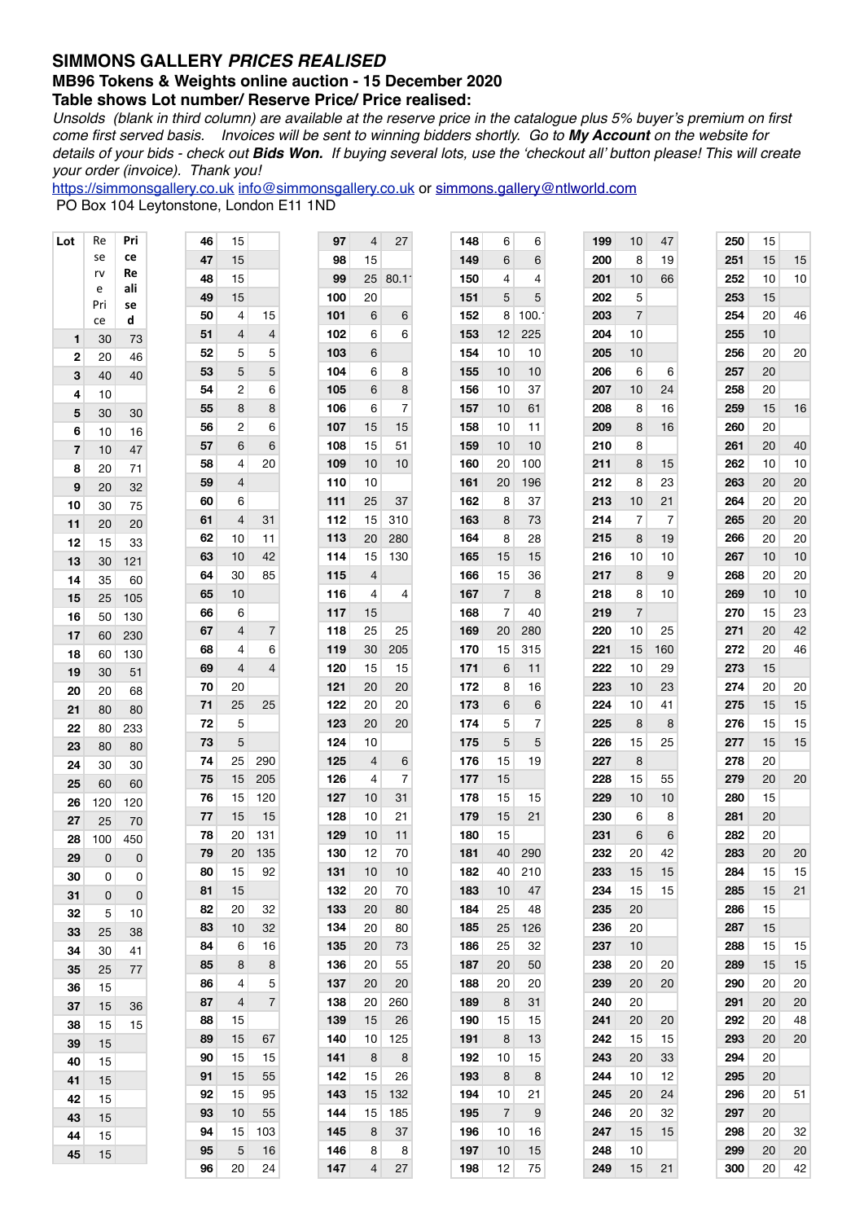## **SIMMONS GALLERY** *PRICES REALISED*

## **MB96 Tokens & Weights online auction - 15 December 2020**

**Table shows Lot number/ Reserve Price/ Price realised:** 

*Unsolds (blank in third column) are available at the reserve price in the catalogue plus 5% buyer's premium on first come first served basis. Invoices will be sent to winning bidders shortly. Go to My Account on the website for details of your bids - check out Bids Won. If buying several lots, use the 'checkout all' button please! This will create your order (invoice). Thank you!*

[https://simmonsgallery.co.uk](http://www.simmonsgallery.co.uk) [info@simmonsgallery.co.uk](mailto:info@simmonsgallery.co.uk) or [simmons.gallery@ntlworld.com](mailto:simmons.gallery@ntlworld.com) PO Box 104 Leytonstone, London E11 1ND

| Lot | Re       | Pri       | 46 | 15             |                | 97  | 4  | 27             | 148 | 6              | 6    | 199 | 10             | 47  | 250 | 15 |    |
|-----|----------|-----------|----|----------------|----------------|-----|----|----------------|-----|----------------|------|-----|----------------|-----|-----|----|----|
|     | se       | ce        | 47 | 15             |                | 98  | 15 |                | 149 | 6              | 6    | 200 | 8              | 19  | 251 | 15 | 15 |
|     | rv       | Re        | 48 | 15             |                | 99  | 25 | 80.1           | 150 | 4              | 4    | 201 | 10             | 66  | 252 | 10 | 10 |
|     | е<br>Pri | ali<br>se | 49 | 15             |                | 100 | 20 |                | 151 | 5              | 5    | 202 | 5              |     | 253 | 15 |    |
|     | ce       | d         | 50 | 4              | 15             | 101 | 6  | 6              | 152 | 8              | 100. | 203 | $\overline{7}$ |     | 254 | 20 | 46 |
| 1   | 30       | 73        | 51 | 4              | 4              | 102 | 6  | 6              | 153 | 12             | 225  | 204 | 10             |     | 255 | 10 |    |
| 2   | 20       | 46        | 52 | 5              | 5              | 103 | 6  |                | 154 | 10             | 10   | 205 | 10             |     | 256 | 20 | 20 |
| 3   | 40       | 40        | 53 | 5              | 5              | 104 | 6  | 8              | 155 | 10             | 10   | 206 | 6              | 6   | 257 | 20 |    |
| 4   | 10       |           | 54 | $\overline{c}$ | 6              | 105 | 6  | 8              | 156 | 10             | 37   | 207 | 10             | 24  | 258 | 20 |    |
| 5   | 30       | 30        | 55 | 8              | 8              | 106 | 6  | $\overline{7}$ | 157 | 10             | 61   | 208 | 8              | 16  | 259 | 15 | 16 |
| 6   | 10       | 16        | 56 | $\overline{c}$ | 6              | 107 | 15 | 15             | 158 | 10             | 11   | 209 | 8              | 16  | 260 | 20 |    |
| 7   | 10       | 47        | 57 | 6              | 6              | 108 | 15 | 51             | 159 | 10             | 10   | 210 | 8              |     | 261 | 20 | 40 |
| 8   | 20       | 71        | 58 | 4              | 20             | 109 | 10 | 10             | 160 | 20             | 100  | 211 | 8              | 15  | 262 | 10 | 10 |
| 9   | 20       | 32        | 59 | 4              |                | 110 | 10 |                | 161 | 20             | 196  | 212 | 8              | 23  | 263 | 20 | 20 |
| 10  | 30       | 75        | 60 | 6              |                | 111 | 25 | 37             | 162 | 8              | 37   | 213 | 10             | 21  | 264 | 20 | 20 |
| 11  | 20       | 20        | 61 | 4              | 31             | 112 | 15 | 310            | 163 | 8              | 73   | 214 | $\overline{7}$ | 7   | 265 | 20 | 20 |
| 12  | 15       | 33        | 62 | 10             | 11             | 113 | 20 | 280            | 164 | 8              | 28   | 215 | 8              | 19  | 266 | 20 | 20 |
| 13  | 30       | 121       | 63 | 10             | 42             | 114 | 15 | 130            | 165 | 15             | 15   | 216 | 10             | 10  | 267 | 10 | 10 |
| 14  | 35       | 60        | 64 | 30             | 85             | 115 | 4  |                | 166 | 15             | 36   | 217 | 8              | 9   | 268 | 20 | 20 |
| 15  | 25       | 105       | 65 | 10             |                | 116 | 4  | 4              | 167 | $\overline{7}$ | 8    | 218 | 8              | 10  | 269 | 10 | 10 |
| 16  | 50       | 130       | 66 | 6              |                | 117 | 15 |                | 168 | $\overline{7}$ | 40   | 219 | $\overline{7}$ |     | 270 | 15 | 23 |
| 17  | 60       | 230       | 67 | 4              | 7              | 118 | 25 | 25             | 169 | 20             | 280  | 220 | 10             | 25  | 271 | 20 | 42 |
| 18  | 60       | 130       | 68 | 4              | 6              | 119 | 30 | 205            | 170 | 15             | 315  | 221 | 15             | 160 | 272 | 20 | 46 |
| 19  | 30       | 51        | 69 | $\overline{4}$ | 4              | 120 | 15 | 15             | 171 | 6              | 11   | 222 | 10             | 29  | 273 | 15 |    |
| 20  | 20       | 68        | 70 | 20             |                | 121 | 20 | 20             | 172 | 8              | 16   | 223 | 10             | 23  | 274 | 20 | 20 |
| 21  | 80       | 80        | 71 | 25             | 25             | 122 | 20 | 20             | 173 | 6              | 6    | 224 | 10             | 41  | 275 | 15 | 15 |
| 22  | 80       | 233       | 72 | 5              |                | 123 | 20 | 20             | 174 | 5              | 7    | 225 | 8              | 8   | 276 | 15 | 15 |
| 23  | 80       | 80        | 73 | 5              |                | 124 | 10 |                | 175 | 5              | 5    | 226 | 15             | 25  | 277 | 15 | 15 |
| 24  | 30       | 30        | 74 | 25             | 290            | 125 | 4  | 6              | 176 | 15             | 19   | 227 | 8              |     | 278 | 20 |    |
| 25  | 60       | 60        | 75 | 15             | 205            | 126 | 4  | 7              | 177 | 15             |      | 228 | 15             | 55  | 279 | 20 | 20 |
| 26  | 120      | 120       | 76 | 15             | 120            | 127 | 10 | 31             | 178 | 15             | 15   | 229 | 10             | 10  | 280 | 15 |    |
| 27  | 25       | 70        | 77 | 15             | 15             | 128 | 10 | 21             | 179 | 15             | 21   | 230 | 6              | 8   | 281 | 20 |    |
| 28  | 100      | 450       | 78 | 20             | 131            | 129 | 10 | 11             | 180 | 15             |      | 231 | 6              | 6   | 282 | 20 |    |
| 29  | 0        | 0         | 79 | 20             | 135            | 130 | 12 | 70             | 181 | 40             | 290  | 232 | 20             | 42  | 283 | 20 | 20 |
| 30  | 0        | 0         | 80 | 15             | 92             | 131 | 10 | 10             | 182 | 40             | 210  | 233 | 15             | 15  | 284 | 15 | 15 |
| 31  | 0        | 0         | 81 | 15             |                | 132 | 20 | 70             | 183 | 10             | 47   | 234 | 15             | 15  | 285 | 15 | 21 |
| 32  | 5        | 10        | 82 | 20             | 32             | 133 | 20 | 80             | 184 | 25             | 48   | 235 | 20             |     | 286 | 15 |    |
| 33  | 25       | 38        | 83 | 10             | 32             | 134 | 20 | 80             | 185 | 25             | 126  | 236 | 20             |     | 287 | 15 |    |
| 34  | 30       | 41        | 84 | 6              | 16             | 135 | 20 | 73             | 186 | 25             | 32   | 237 | 10             |     | 288 | 15 | 15 |
| 35  | 25       | 77        | 85 | 8              | 8              | 136 | 20 | 55             | 187 | 20             | 50   | 238 | 20             | 20  | 289 | 15 | 15 |
| 36  | 15       |           | 86 | 4              | 5              | 137 | 20 | 20             | 188 | 20             | 20   | 239 | 20             | 20  | 290 | 20 | 20 |
| 37  | 15       | 36        | 87 | 4              | $\overline{7}$ | 138 | 20 | 260            | 189 | 8              | 31   | 240 | 20             |     | 291 | 20 | 20 |
| 38  | 15       | 15        | 88 | 15             |                | 139 | 15 | 26             | 190 | 15             | 15   | 241 | 20             | 20  | 292 | 20 | 48 |
| 39  | 15       |           | 89 | 15             | 67             | 140 | 10 | 125            | 191 | 8              | 13   | 242 | 15             | 15  | 293 | 20 | 20 |
| 40  | 15       |           | 90 | 15             | 15             | 141 | 8  | 8              | 192 | 10             | 15   | 243 | 20             | 33  | 294 | 20 |    |
| 41  | 15       |           | 91 | 15             | 55             | 142 | 15 | 26             | 193 | 8              | 8    | 244 | 10             | 12  | 295 | 20 |    |
| 42  | 15       |           | 92 | 15             | 95             | 143 | 15 | 132            | 194 | 10             | 21   | 245 | 20             | 24  | 296 | 20 | 51 |
| 43  | 15       |           | 93 | 10             | 55             | 144 | 15 | 185            | 195 | $\overline{7}$ | 9    | 246 | 20             | 32  | 297 | 20 |    |
| 44  | 15       |           | 94 | 15             | 103            | 145 | 8  | 37             | 196 | 10             | 16   | 247 | 15             | 15  | 298 | 20 | 32 |
| 45  | 15       |           | 95 | 5              | 16             | 146 | 8  | 8              | 197 | 10             | 15   | 248 | 10             |     | 299 | 20 | 20 |
|     |          |           | 96 | 20             | 24             | 147 | 4  | 27             | 198 | 12             | 75   | 249 | 15             | 21  | 300 | 20 | 42 |